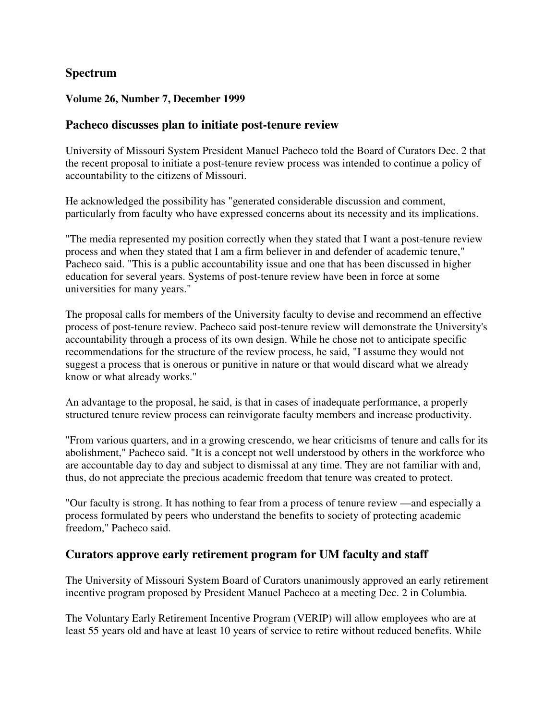## **Spectrum**

#### **Volume 26, Number 7, December 1999**

#### **Pacheco discusses plan to initiate post-tenure review**

University of Missouri System President Manuel Pacheco told the Board of Curators Dec. 2 that the recent proposal to initiate a post-tenure review process was intended to continue a policy of accountability to the citizens of Missouri.

He acknowledged the possibility has "generated considerable discussion and comment, particularly from faculty who have expressed concerns about its necessity and its implications.

"The media represented my position correctly when they stated that I want a post-tenure review process and when they stated that I am a firm believer in and defender of academic tenure," Pacheco said. "This is a public accountability issue and one that has been discussed in higher education for several years. Systems of post-tenure review have been in force at some universities for many years."

The proposal calls for members of the University faculty to devise and recommend an effective process of post-tenure review. Pacheco said post-tenure review will demonstrate the University's accountability through a process of its own design. While he chose not to anticipate specific recommendations for the structure of the review process, he said, "I assume they would not suggest a process that is onerous or punitive in nature or that would discard what we already know or what already works."

An advantage to the proposal, he said, is that in cases of inadequate performance, a properly structured tenure review process can reinvigorate faculty members and increase productivity.

"From various quarters, and in a growing crescendo, we hear criticisms of tenure and calls for its abolishment," Pacheco said. "It is a concept not well understood by others in the workforce who are accountable day to day and subject to dismissal at any time. They are not familiar with and, thus, do not appreciate the precious academic freedom that tenure was created to protect.

"Our faculty is strong. It has nothing to fear from a process of tenure review —and especially a process formulated by peers who understand the benefits to society of protecting academic freedom," Pacheco said.

### **Curators approve early retirement program for UM faculty and staff**

The University of Missouri System Board of Curators unanimously approved an early retirement incentive program proposed by President Manuel Pacheco at a meeting Dec. 2 in Columbia.

The Voluntary Early Retirement Incentive Program (VERIP) will allow employees who are at least 55 years old and have at least 10 years of service to retire without reduced benefits. While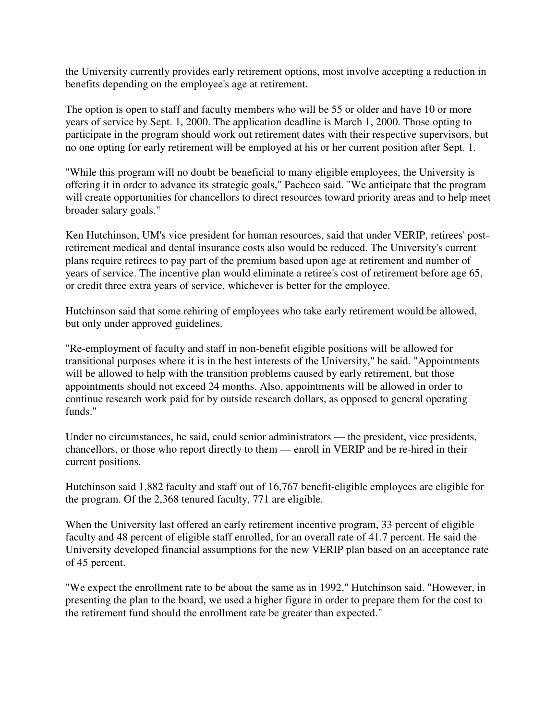the University currently provides early retirement options, most involve accepting a reduction in benefits depending on the employee's age at retirement.

The option is open to staff and faculty members who will be 55 or older and have 10 or more years of service by Sept. 1, 2000. The application deadline is March 1, 2000. Those opting to participate in the program should work out retirement dates with their respective supervisors, but no one opting for early retirement will be employed at his or her current position after Sept. 1.

"While this program will no doubt be beneficial to many eligible employees, the University is offering it in order to advance its strategic goals," Pacheco said. "We anticipate that the program will create opportunities for chancellors to direct resources toward priority areas and to help meet broader salary goals."

Ken Hutchinson, UM's vice president for human resources, said that under VERIP, retirees' postretirement medical and dental insurance costs also would be reduced. The University's current plans require retirees to pay part of the premium based upon age at retirement and number of years of service. The incentive plan would eliminate a retiree's cost of retirement before age 65, or credit three extra years of service, whichever is better for the employee.

Hutchinson said that some rehiring of employees who take early retirement would be allowed, but only under approved guidelines.

"Re-employment of faculty and staff in non-benefit eligible positions will be allowed for transitional purposes where it is in the best interests of the University," he said. "Appointments will be allowed to help with the transition problems caused by early retirement, but those appointments should not exceed 24 months. Also, appointments will be allowed in order to continue research work paid for by outside research dollars, as opposed to general operating funds."

Under no circumstances, he said, could senior administrators — the president, vice presidents, chancellors, or those who report directly to them — enroll in VERIP and be re-hired in their current positions.

Hutchinson said 1,882 faculty and staff out of 16,767 benefit-eligible employees are eligible for the program. Of the 2,368 tenured faculty, 771 are eligible.

When the University last offered an early retirement incentive program, 33 percent of eligible faculty and 48 percent of eligible staff enrolled, for an overall rate of 41.7 percent. He said the University developed financial assumptions for the new VERIP plan based on an acceptance rate of 45 percent.

"We expect the enrollment rate to be about the same as in 1992," Hutchinson said. "However, in presenting the plan to the board, we used a higher figure in order to prepare them for the cost to the retirement fund should the enrollment rate be greater than expected."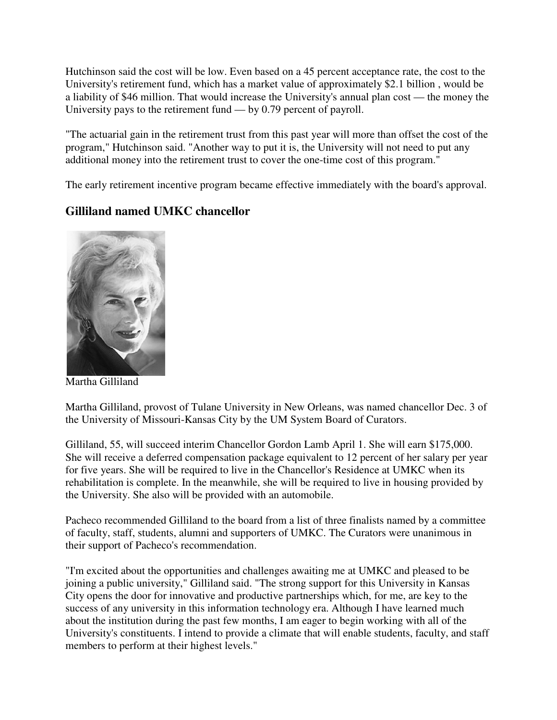Hutchinson said the cost will be low. Even based on a 45 percent acceptance rate, the cost to the University's retirement fund, which has a market value of approximately \$2.1 billion , would be a liability of \$46 million. That would increase the University's annual plan cost — the money the University pays to the retirement fund — by 0.79 percent of payroll.

"The actuarial gain in the retirement trust from this past year will more than offset the cost of the program," Hutchinson said. "Another way to put it is, the University will not need to put any additional money into the retirement trust to cover the one-time cost of this program."

The early retirement incentive program became effective immediately with the board's approval.

## **Gilliland named UMKC chancellor**



Martha Gilliland

Martha Gilliland, provost of Tulane University in New Orleans, was named chancellor Dec. 3 of the University of Missouri-Kansas City by the UM System Board of Curators.

Gilliland, 55, will succeed interim Chancellor Gordon Lamb April 1. She will earn \$175,000. She will receive a deferred compensation package equivalent to 12 percent of her salary per year for five years. She will be required to live in the Chancellor's Residence at UMKC when its rehabilitation is complete. In the meanwhile, she will be required to live in housing provided by the University. She also will be provided with an automobile.

Pacheco recommended Gilliland to the board from a list of three finalists named by a committee of faculty, staff, students, alumni and supporters of UMKC. The Curators were unanimous in their support of Pacheco's recommendation.

"I'm excited about the opportunities and challenges awaiting me at UMKC and pleased to be joining a public university," Gilliland said. "The strong support for this University in Kansas City opens the door for innovative and productive partnerships which, for me, are key to the success of any university in this information technology era. Although I have learned much about the institution during the past few months, I am eager to begin working with all of the University's constituents. I intend to provide a climate that will enable students, faculty, and staff members to perform at their highest levels."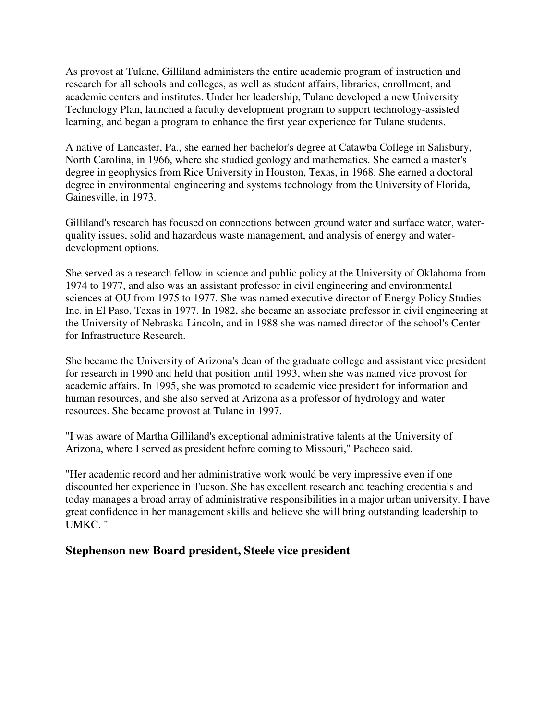As provost at Tulane, Gilliland administers the entire academic program of instruction and research for all schools and colleges, as well as student affairs, libraries, enrollment, and academic centers and institutes. Under her leadership, Tulane developed a new University Technology Plan, launched a faculty development program to support technology-assisted learning, and began a program to enhance the first year experience for Tulane students.

A native of Lancaster, Pa., she earned her bachelor's degree at Catawba College in Salisbury, North Carolina, in 1966, where she studied geology and mathematics. She earned a master's degree in geophysics from Rice University in Houston, Texas, in 1968. She earned a doctoral degree in environmental engineering and systems technology from the University of Florida, Gainesville, in 1973.

Gilliland's research has focused on connections between ground water and surface water, waterquality issues, solid and hazardous waste management, and analysis of energy and waterdevelopment options.

She served as a research fellow in science and public policy at the University of Oklahoma from 1974 to 1977, and also was an assistant professor in civil engineering and environmental sciences at OU from 1975 to 1977. She was named executive director of Energy Policy Studies Inc. in El Paso, Texas in 1977. In 1982, she became an associate professor in civil engineering at the University of Nebraska-Lincoln, and in 1988 she was named director of the school's Center for Infrastructure Research.

She became the University of Arizona's dean of the graduate college and assistant vice president for research in 1990 and held that position until 1993, when she was named vice provost for academic affairs. In 1995, she was promoted to academic vice president for information and human resources, and she also served at Arizona as a professor of hydrology and water resources. She became provost at Tulane in 1997.

"I was aware of Martha Gilliland's exceptional administrative talents at the University of Arizona, where I served as president before coming to Missouri," Pacheco said.

"Her academic record and her administrative work would be very impressive even if one discounted her experience in Tucson. She has excellent research and teaching credentials and today manages a broad array of administrative responsibilities in a major urban university. I have great confidence in her management skills and believe she will bring outstanding leadership to UMKC. "

### **Stephenson new Board president, Steele vice president**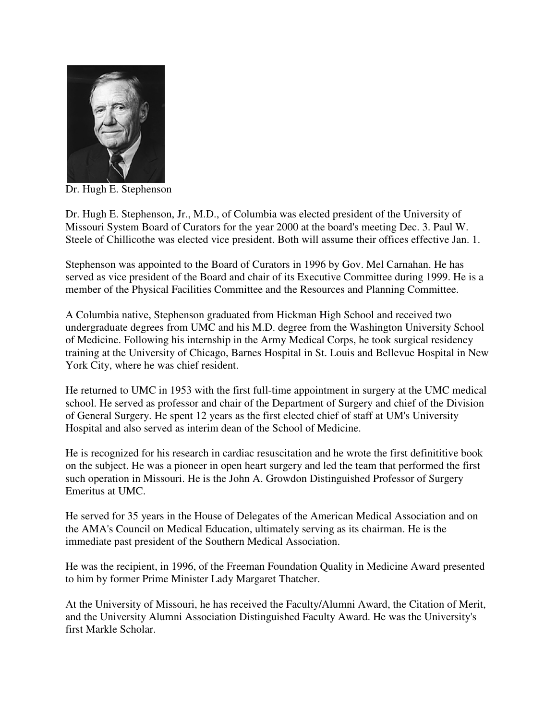

Dr. Hugh E. Stephenson

Dr. Hugh E. Stephenson, Jr., M.D., of Columbia was elected president of the University of Missouri System Board of Curators for the year 2000 at the board's meeting Dec. 3. Paul W. Steele of Chillicothe was elected vice president. Both will assume their offices effective Jan. 1.

Stephenson was appointed to the Board of Curators in 1996 by Gov. Mel Carnahan. He has served as vice president of the Board and chair of its Executive Committee during 1999. He is a member of the Physical Facilities Committee and the Resources and Planning Committee.

A Columbia native, Stephenson graduated from Hickman High School and received two undergraduate degrees from UMC and his M.D. degree from the Washington University School of Medicine. Following his internship in the Army Medical Corps, he took surgical residency training at the University of Chicago, Barnes Hospital in St. Louis and Bellevue Hospital in New York City, where he was chief resident.

He returned to UMC in 1953 with the first full-time appointment in surgery at the UMC medical school. He served as professor and chair of the Department of Surgery and chief of the Division of General Surgery. He spent 12 years as the first elected chief of staff at UM's University Hospital and also served as interim dean of the School of Medicine.

He is recognized for his research in cardiac resuscitation and he wrote the first definititive book on the subject. He was a pioneer in open heart surgery and led the team that performed the first such operation in Missouri. He is the John A. Growdon Distinguished Professor of Surgery Emeritus at UMC.

He served for 35 years in the House of Delegates of the American Medical Association and on the AMA's Council on Medical Education, ultimately serving as its chairman. He is the immediate past president of the Southern Medical Association.

He was the recipient, in 1996, of the Freeman Foundation Quality in Medicine Award presented to him by former Prime Minister Lady Margaret Thatcher.

At the University of Missouri, he has received the Faculty/Alumni Award, the Citation of Merit, and the University Alumni Association Distinguished Faculty Award. He was the University's first Markle Scholar.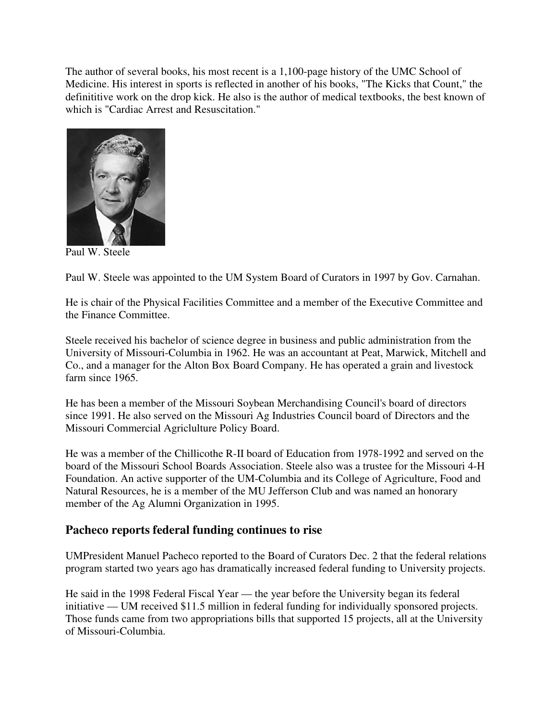The author of several books, his most recent is a 1,100-page history of the UMC School of Medicine. His interest in sports is reflected in another of his books, "The Kicks that Count," the definititive work on the drop kick. He also is the author of medical textbooks, the best known of which is "Cardiac Arrest and Resuscitation."



Paul W. Steele

Paul W. Steele was appointed to the UM System Board of Curators in 1997 by Gov. Carnahan.

He is chair of the Physical Facilities Committee and a member of the Executive Committee and the Finance Committee.

Steele received his bachelor of science degree in business and public administration from the University of Missouri-Columbia in 1962. He was an accountant at Peat, Marwick, Mitchell and Co., and a manager for the Alton Box Board Company. He has operated a grain and livestock farm since 1965.

He has been a member of the Missouri Soybean Merchandising Council's board of directors since 1991. He also served on the Missouri Ag Industries Council board of Directors and the Missouri Commercial Agriclulture Policy Board.

He was a member of the Chillicothe R-II board of Education from 1978-1992 and served on the board of the Missouri School Boards Association. Steele also was a trustee for the Missouri 4-H Foundation. An active supporter of the UM-Columbia and its College of Agriculture, Food and Natural Resources, he is a member of the MU Jefferson Club and was named an honorary member of the Ag Alumni Organization in 1995.

## **Pacheco reports federal funding continues to rise**

UMPresident Manuel Pacheco reported to the Board of Curators Dec. 2 that the federal relations program started two years ago has dramatically increased federal funding to University projects.

He said in the 1998 Federal Fiscal Year — the year before the University began its federal initiative — UM received \$11.5 million in federal funding for individually sponsored projects. Those funds came from two appropriations bills that supported 15 projects, all at the University of Missouri-Columbia.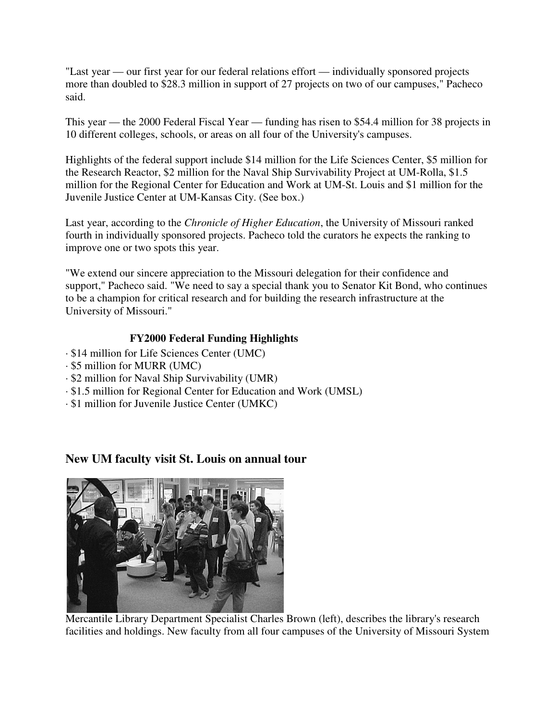"Last year — our first year for our federal relations effort — individually sponsored projects more than doubled to \$28.3 million in support of 27 projects on two of our campuses," Pacheco said.

This year — the 2000 Federal Fiscal Year — funding has risen to \$54.4 million for 38 projects in 10 different colleges, schools, or areas on all four of the University's campuses.

Highlights of the federal support include \$14 million for the Life Sciences Center, \$5 million for the Research Reactor, \$2 million for the Naval Ship Survivability Project at UM-Rolla, \$1.5 million for the Regional Center for Education and Work at UM-St. Louis and \$1 million for the Juvenile Justice Center at UM-Kansas City. (See box.)

Last year, according to the *Chronicle of Higher Education*, the University of Missouri ranked fourth in individually sponsored projects. Pacheco told the curators he expects the ranking to improve one or two spots this year.

"We extend our sincere appreciation to the Missouri delegation for their confidence and support," Pacheco said. "We need to say a special thank you to Senator Kit Bond, who continues to be a champion for critical research and for building the research infrastructure at the University of Missouri."

### **FY2000 Federal Funding Highlights**

- · \$14 million for Life Sciences Center (UMC)
- · \$5 million for MURR (UMC)
- · \$2 million for Naval Ship Survivability (UMR)
- · \$1.5 million for Regional Center for Education and Work (UMSL)
- · \$1 million for Juvenile Justice Center (UMKC)

## **New UM faculty visit St. Louis on annual tour**



Mercantile Library Department Specialist Charles Brown (left), describes the library's research facilities and holdings. New faculty from all four campuses of the University of Missouri System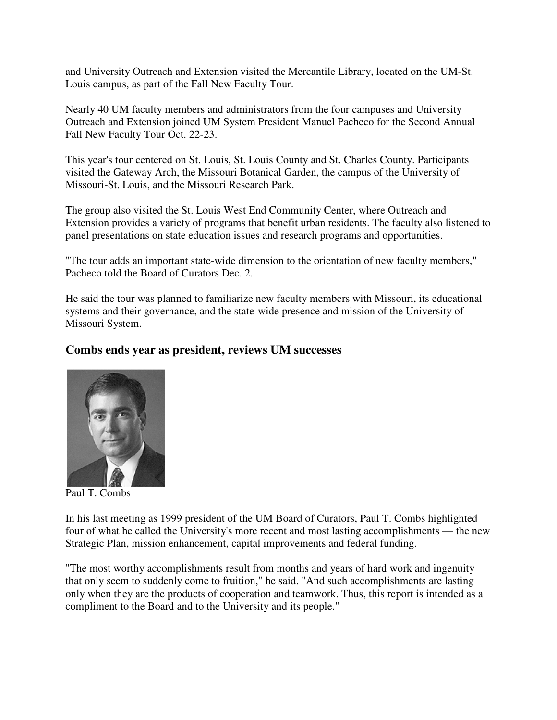and University Outreach and Extension visited the Mercantile Library, located on the UM-St. Louis campus, as part of the Fall New Faculty Tour.

Nearly 40 UM faculty members and administrators from the four campuses and University Outreach and Extension joined UM System President Manuel Pacheco for the Second Annual Fall New Faculty Tour Oct. 22-23.

This year's tour centered on St. Louis, St. Louis County and St. Charles County. Participants visited the Gateway Arch, the Missouri Botanical Garden, the campus of the University of Missouri-St. Louis, and the Missouri Research Park.

The group also visited the St. Louis West End Community Center, where Outreach and Extension provides a variety of programs that benefit urban residents. The faculty also listened to panel presentations on state education issues and research programs and opportunities.

"The tour adds an important state-wide dimension to the orientation of new faculty members," Pacheco told the Board of Curators Dec. 2.

He said the tour was planned to familiarize new faculty members with Missouri, its educational systems and their governance, and the state-wide presence and mission of the University of Missouri System.

### **Combs ends year as president, reviews UM successes**



Paul T. Combs

In his last meeting as 1999 president of the UM Board of Curators, Paul T. Combs highlighted four of what he called the University's more recent and most lasting accomplishments — the new Strategic Plan, mission enhancement, capital improvements and federal funding.

"The most worthy accomplishments result from months and years of hard work and ingenuity that only seem to suddenly come to fruition," he said. "And such accomplishments are lasting only when they are the products of cooperation and teamwork. Thus, this report is intended as a compliment to the Board and to the University and its people."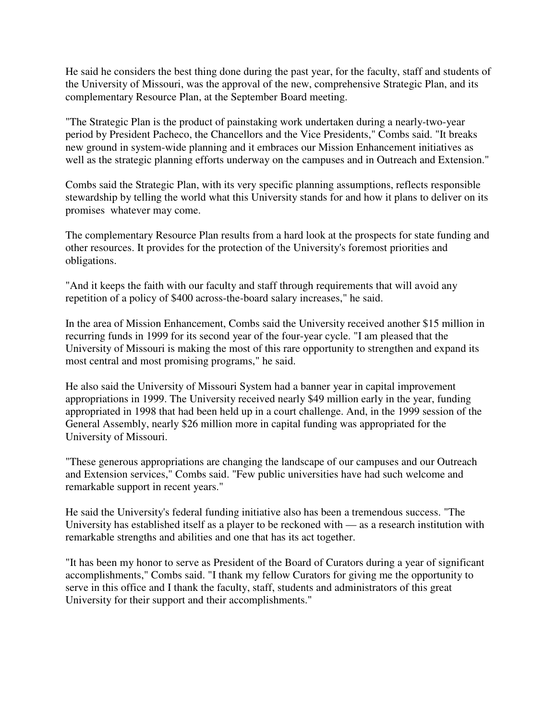He said he considers the best thing done during the past year, for the faculty, staff and students of the University of Missouri, was the approval of the new, comprehensive Strategic Plan, and its complementary Resource Plan, at the September Board meeting.

"The Strategic Plan is the product of painstaking work undertaken during a nearly-two-year period by President Pacheco, the Chancellors and the Vice Presidents," Combs said. "It breaks new ground in system-wide planning and it embraces our Mission Enhancement initiatives as well as the strategic planning efforts underway on the campuses and in Outreach and Extension."

Combs said the Strategic Plan, with its very specific planning assumptions, reflects responsible stewardship by telling the world what this University stands for and how it plans to deliver on its promises whatever may come.

The complementary Resource Plan results from a hard look at the prospects for state funding and other resources. It provides for the protection of the University's foremost priorities and obligations.

"And it keeps the faith with our faculty and staff through requirements that will avoid any repetition of a policy of \$400 across-the-board salary increases," he said.

In the area of Mission Enhancement, Combs said the University received another \$15 million in recurring funds in 1999 for its second year of the four-year cycle. "I am pleased that the University of Missouri is making the most of this rare opportunity to strengthen and expand its most central and most promising programs," he said.

He also said the University of Missouri System had a banner year in capital improvement appropriations in 1999. The University received nearly \$49 million early in the year, funding appropriated in 1998 that had been held up in a court challenge. And, in the 1999 session of the General Assembly, nearly \$26 million more in capital funding was appropriated for the University of Missouri.

"These generous appropriations are changing the landscape of our campuses and our Outreach and Extension services," Combs said. "Few public universities have had such welcome and remarkable support in recent years."

He said the University's federal funding initiative also has been a tremendous success. "The University has established itself as a player to be reckoned with — as a research institution with remarkable strengths and abilities and one that has its act together.

"It has been my honor to serve as President of the Board of Curators during a year of significant accomplishments," Combs said. "I thank my fellow Curators for giving me the opportunity to serve in this office and I thank the faculty, staff, students and administrators of this great University for their support and their accomplishments."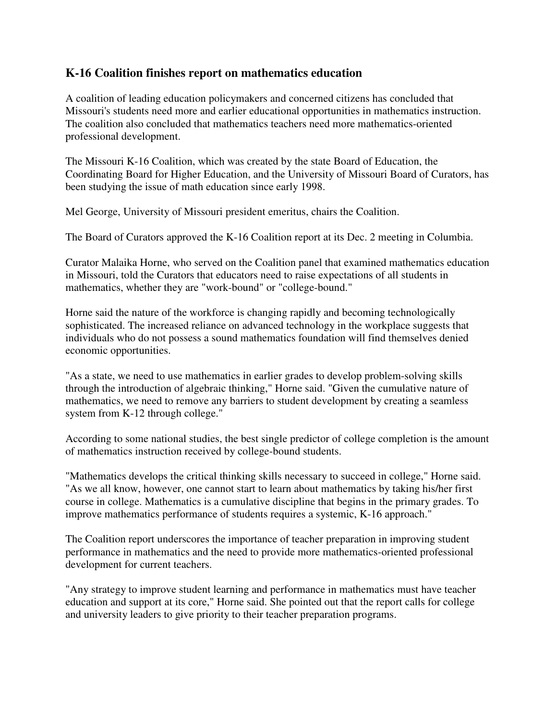## **K-16 Coalition finishes report on mathematics education**

A coalition of leading education policymakers and concerned citizens has concluded that Missouri's students need more and earlier educational opportunities in mathematics instruction. The coalition also concluded that mathematics teachers need more mathematics-oriented professional development.

The Missouri K-16 Coalition, which was created by the state Board of Education, the Coordinating Board for Higher Education, and the University of Missouri Board of Curators, has been studying the issue of math education since early 1998.

Mel George, University of Missouri president emeritus, chairs the Coalition.

The Board of Curators approved the K-16 Coalition report at its Dec. 2 meeting in Columbia.

Curator Malaika Horne, who served on the Coalition panel that examined mathematics education in Missouri, told the Curators that educators need to raise expectations of all students in mathematics, whether they are "work-bound" or "college-bound."

Horne said the nature of the workforce is changing rapidly and becoming technologically sophisticated. The increased reliance on advanced technology in the workplace suggests that individuals who do not possess a sound mathematics foundation will find themselves denied economic opportunities.

"As a state, we need to use mathematics in earlier grades to develop problem-solving skills through the introduction of algebraic thinking," Horne said. "Given the cumulative nature of mathematics, we need to remove any barriers to student development by creating a seamless system from K-12 through college."

According to some national studies, the best single predictor of college completion is the amount of mathematics instruction received by college-bound students.

"Mathematics develops the critical thinking skills necessary to succeed in college," Horne said. "As we all know, however, one cannot start to learn about mathematics by taking his/her first course in college. Mathematics is a cumulative discipline that begins in the primary grades. To improve mathematics performance of students requires a systemic, K-16 approach."

The Coalition report underscores the importance of teacher preparation in improving student performance in mathematics and the need to provide more mathematics-oriented professional development for current teachers.

"Any strategy to improve student learning and performance in mathematics must have teacher education and support at its core," Horne said. She pointed out that the report calls for college and university leaders to give priority to their teacher preparation programs.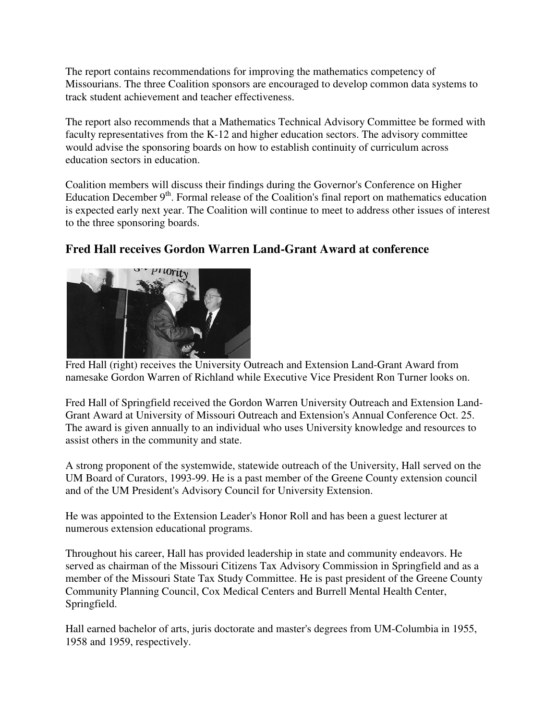The report contains recommendations for improving the mathematics competency of Missourians. The three Coalition sponsors are encouraged to develop common data systems to track student achievement and teacher effectiveness.

The report also recommends that a Mathematics Technical Advisory Committee be formed with faculty representatives from the K-12 and higher education sectors. The advisory committee would advise the sponsoring boards on how to establish continuity of curriculum across education sectors in education.

Coalition members will discuss their findings during the Governor's Conference on Higher Education December  $9<sup>th</sup>$ . Formal release of the Coalition's final report on mathematics education is expected early next year. The Coalition will continue to meet to address other issues of interest to the three sponsoring boards.



# **Fred Hall receives Gordon Warren Land-Grant Award at conference**

Fred Hall (right) receives the University Outreach and Extension Land-Grant Award from namesake Gordon Warren of Richland while Executive Vice President Ron Turner looks on.

Fred Hall of Springfield received the Gordon Warren University Outreach and Extension Land-Grant Award at University of Missouri Outreach and Extension's Annual Conference Oct. 25. The award is given annually to an individual who uses University knowledge and resources to assist others in the community and state.

A strong proponent of the systemwide, statewide outreach of the University, Hall served on the UM Board of Curators, 1993-99. He is a past member of the Greene County extension council and of the UM President's Advisory Council for University Extension.

He was appointed to the Extension Leader's Honor Roll and has been a guest lecturer at numerous extension educational programs.

Throughout his career, Hall has provided leadership in state and community endeavors. He served as chairman of the Missouri Citizens Tax Advisory Commission in Springfield and as a member of the Missouri State Tax Study Committee. He is past president of the Greene County Community Planning Council, Cox Medical Centers and Burrell Mental Health Center, Springfield.

Hall earned bachelor of arts, juris doctorate and master's degrees from UM-Columbia in 1955, 1958 and 1959, respectively.